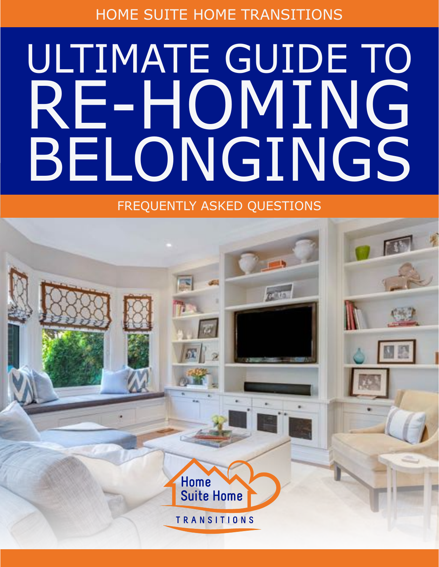HOME SUITE HOME TRANSITIONS

# ULTIMATE GUIDE TO RE-HOMING BELONGINGS

FREQUENTLY ASKED QUESTIONS

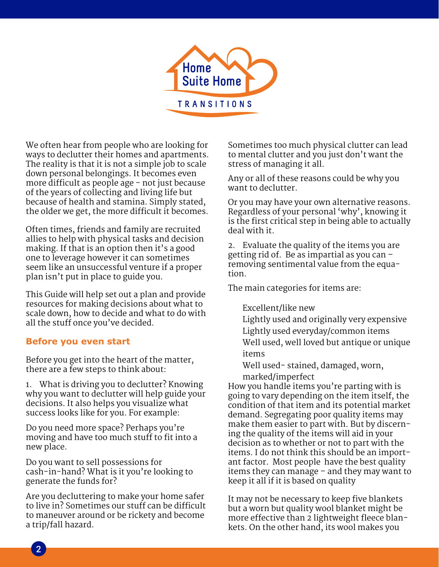

We often hear from people who are looking for ways to declutter their homes and apartments. The reality is that it is not a simple job to scale down personal belongings. It becomes even more difficult as people age - not just because of the years of collecting and living life but because of health and stamina. Simply stated, the older we get, the more difficult it becomes.

Often times, friends and family are recruited allies to help with physical tasks and decision making. If that is an option then it's a good one to leverage however it can sometimes seem like an unsuccessful venture if a proper plan isn't put in place to guide you.

This Guide will help set out a plan and provide resources for making decisions about what to scale down, how to decide and what to do with all the stuff once you've decided.

### **Before you even start**

Before you get into the heart of the matter, there are a few steps to think about:

1. What is driving you to declutter? Knowing why you want to declutter will help guide your decisions. It also helps you visualize what success looks like for you. For example:

Do you need more space? Perhaps you're moving and have too much stuff to fit into a new place.

Do you want to sell possessions for cash-in-hand? What is it you're looking to generate the funds for?

Are you decluttering to make your home safer to live in? Sometimes our stuff can be difficult to maneuver around or be rickety and become a trip/fall hazard.

Sometimes too much physical clutter can lead to mental clutter and you just don't want the stress of managing it all.

Any or all of these reasons could be why you want to declutter.

Or you may have your own alternative reasons. Regardless of your personal 'why', knowing it is the first critical step in being able to actually deal with it.

2. Evaluate the quality of the items you are getting rid of. Be as impartial as you can – removing sentimental value from the equation.

The main categories for items are:

### Excellent/like new

 Lightly used and originally very expensive Lightly used everyday/common items Well used, well loved but antique or unique items

 Well used- stained, damaged, worn, marked/imperfect

How you handle items you're parting with is going to vary depending on the item itself, the condition of that item and its potential market demand. Segregating poor quality items may make them easier to part with. But by discerning the quality of the items will aid in your decision as to whether or not to part with the items. I do not think this should be an important factor. Most people have the best quality items they can manage – and they may want to keep it all if it is based on quality

It may not be necessary to keep five blankets but a worn but quality wool blanket might be more effective than 2 lightweight fleece blankets. On the other hand, its wool makes you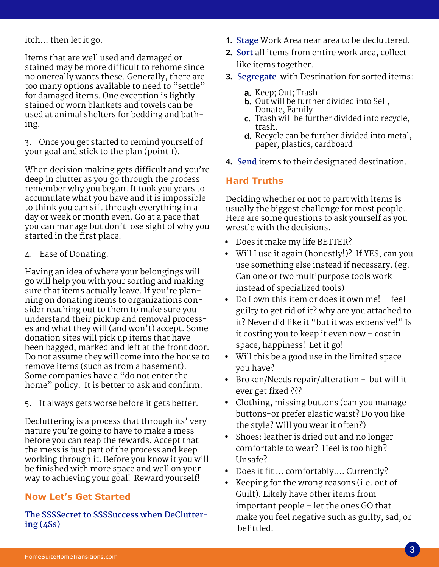itch… then let it go.

Items that are well used and damaged or stained may be more difficult to rehome since no onereally wants these. Generally, there are too many options available to need to "settle" for damaged items. One exception is lightly stained or worn blankets and towels can be used at animal shelters for bedding and bathing.

3. Once you get started to remind yourself of your goal and stick to the plan (point 1).

When decision making gets difficult and you're deep in clutter as you go through the process remember why you began. It took you years to accumulate what you have and it is impossible to think you can sift through everything in a day or week or month even. Go at a pace that you can manage but don't lose sight of why you started in the first place.

4. Ease of Donating.

Having an idea of where your belongings will go will help you with your sorting and making sure that items actually leave. If you're planning on donating items to organizations consider reaching out to them to make sure you understand their pickup and removal processes and what they will (and won't) accept. Some donation sites will pick up items that have been bagged, marked and left at the front door. Do not assume they will come into the house to remove items (such as from a basement). Some companies have a "do not enter the home" policy. It is better to ask and confirm.

5. It always gets worse before it gets better.

Decluttering is a process that through its' very nature you're going to have to make a mess before you can reap the rewards. Accept that the mess is just part of the process and keep working through it. Before you know it you will be finished with more space and well on your way to achieving your goal! Reward yourself!

## **Now Let's Get Started**

**The SSSSecret to SSSSuccess when DeCluttering (4Ss)**

- **1. Stage** Work Area near area to be decluttered.
- **2. Sort** all items from entire work area, collect like items together.
- **3. Segregate** with Destination for sorted items:
	- **a.** Keep; Out; Trash.
	- **b.** Out will be further divided into Sell, Donate, Family
	- Trash will be further divided into recycle, **c.** trash.
	- **d.** Recycle can be further divided into metal, paper, plastics, cardboard
- **4. Send** items to their designated destination.

### **Hard Truths**

Deciding whether or not to part with items is usually the biggest challenge for most people. Here are some questions to ask yourself as you wrestle with the decisions.

- Does it make my life BETTER? •
- Will I use it again (honestly!)? If YES, can you use something else instead if necessary. (eg. Can one or two multipurpose tools work instead of specialized tools)
- Do I own this item or does it own me! feel guilty to get rid of it? why are you attached to it? Never did like it "but it was expensive!" Is it costing you to keep it even now – cost in space, happiness! Let it go!
- Will this be a good use in the limited space you have?
- Broken/Needs repair/alteration but will it ever get fixed ???
- Clothing, missing buttons (can you manage buttons-or prefer elastic waist? Do you like the style? Will you wear it often?)
- Shoes: leather is dried out and no longer comfortable to wear? Heel is too high? Unsafe?
- Does it fit ... comfortably.... Currently?
- Keeping for the wrong reasons (i.e. out of Guilt). Likely have other items from important people – let the ones GO that make you feel negative such as guilty, sad, or belittled.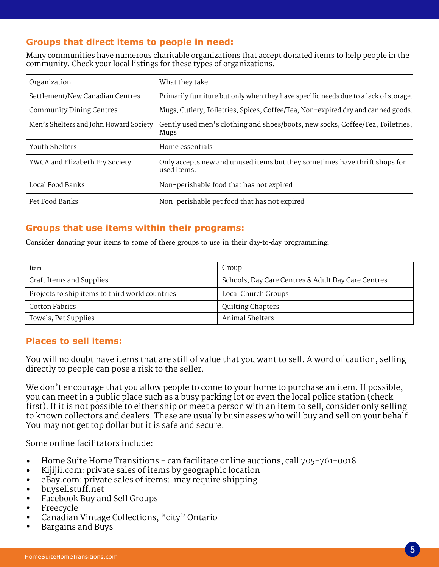# **Groups that direct items to people in need:**

Many communities have numerous charitable organizations that accept donated items to help people in the community. Check your local listings for these types of organizations.

| Organization                           | What they take                                                                            |
|----------------------------------------|-------------------------------------------------------------------------------------------|
| Settlement/New Canadian Centres        | Primarily furniture but only when they have specific needs due to a lack of storage.      |
| <b>Community Dining Centres</b>        | Mugs, Cutlery, Toiletries, Spices, Coffee/Tea, Non-expired dry and canned goods.          |
| Men's Shelters and John Howard Society | Gently used men's clothing and shoes/boots, new socks, Coffee/Tea, Toiletries,<br>Mugs    |
| Youth Shelters                         | Home essentials                                                                           |
| YWCA and Elizabeth Fry Society         | Only accepts new and unused items but they sometimes have thrift shops for<br>used items. |
| Local Food Banks                       | Non-perishable food that has not expired                                                  |
| Pet Food Banks                         | Non-perishable pet food that has not expired                                              |

### **Groups that use items within their programs:**

Consider donating your items to some of these groups to use in their day-to-day programming.

| Item                                            | Group                                              |
|-------------------------------------------------|----------------------------------------------------|
| Craft Items and Supplies                        | Schools, Day Care Centres & Adult Day Care Centres |
| Projects to ship items to third world countries | Local Church Groups                                |
| Cotton Fabrics                                  | <b>Quilting Chapters</b>                           |
| Towels, Pet Supplies                            | Animal Shelters                                    |

## **Places to sell items:**

You will no doubt have items that are still of value that you want to sell. A word of caution, selling directly to people can pose a risk to the seller.

We don't encourage that you allow people to come to your home to purchase an item. If possible, you can meet in a public place such as a busy parking lot or even the local police station (check first). If it is not possible to either ship or meet a person with an item to sell, consider only selling to known collectors and dealers. These are usually businesses who will buy and sell on your behalf. You may not get top dollar but it is safe and secure.

Some online facilitators include:

- Home Suite Home Transitions can facilitate online auctions, call  $705-761-0018$ •
- Kijijii.com: private sales of items by geographic location •
- eBay.com: private sales of items: may require shipping •
- buysellstuff.net •
- Facebook Buy and Sell Groups •
- Freecycle •
- Canadian Vintage Collections, "city" Ontario •
- Bargains and Buys •